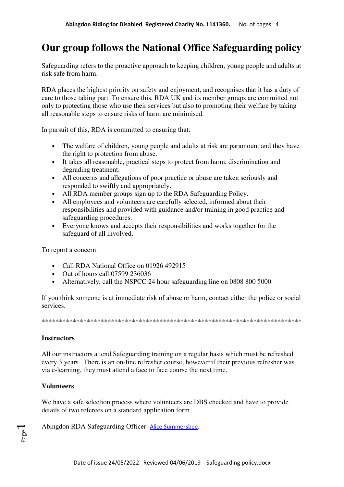## **Our group follows the National Office Safeguarding policy**

Safeguarding refers to the proactive approach to keeping children, young people and adults at risk safe from harm.

RDA places the highest priority on safety and enjoyment, and recognises that it has a duty of care to those taking part. To ensure this, RDA UK and its member groups are committed not only to protecting those who use their services but also to promoting their welfare by taking all reasonable steps to ensure risks of harm are minimised.

In pursuit of this, RDA is committed to ensuring that:

- The welfare of children, young people and adults at risk are paramount and they have the right to protection from abuse.
- It takes all reasonable, practical steps to protect from harm, discrimination and degrading treatment.
- All concerns and allegations of poor practice or abuse are taken seriously and responded to swiftly and appropriately.
- All RDA member groups sign up to the RDA Safeguarding Policy.
- All employees and volunteers are carefully selected, informed about their responsibilities and provided with guidance and/or training in good practice and safeguarding procedures.
- Everyone knows and accepts their responsibilities and works together for the safeguard of all involved.

To report a concern:

- Call RDA National Office on 01926 492915
- Out of hours call 07599 236036
- Alternatively, call the NSPCC 24 hour safeguarding line on 0808 800 5000

If you think someone is at immediate risk of abuse or harm, contact either the police or social services.

\*\*\*\*\*\*\*\*\*\*\*\*\*\*\*\*\*\*\*\*\*\*\*\*\*\*\*\*\*\*\*\*\*\*\*\*\*\*\*\*\*\*\*\*\*\*\*\*\*\*\*\*\*\*\*\*\*\*\*\*\*\*\*\*\*\*\*\*\*\*\*\*\*\*\*

## **Instructors**

All our instructors attend Safeguarding training on a regular basis which must be refreshed every 3 years. There is an on-line refresher course, however if their previous refresher was via e-learning, they must attend a face to face course the next time.

## **Volunteers**

Page  $\overline{\phantom{0}}$ 

We have a safe selection process where volunteers are DBS checked and have to provide details of two referees on a standard application form.

Abingdon RDA Safeguarding Officer: Alice Summersbee.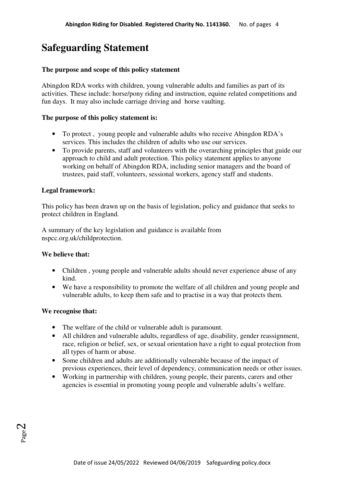# **Safeguarding Statement**

## **The purpose and scope of this policy statement**

Abingdon RDA works with children, young vulnerable adults and families as part of its activities. These include: horse/pony riding and instruction, equine related competitions and fun days. It may also include carriage driving and horse vaulting.

## **The purpose of this policy statement is:**

- To protect , young people and vulnerable adults who receive Abingdon RDA's services. This includes the children of adults who use our services.
- To provide parents, staff and volunteers with the overarching principles that guide our approach to child and adult protection. This policy statement applies to anyone working on behalf of Abingdon RDA, including senior managers and the board of trustees, paid staff, volunteers, sessional workers, agency staff and students.

## **Legal framework:**

This policy has been drawn up on the basis of legislation, policy and guidance that seeks to protect children in England.

A summary of the key legislation and guidance is available from nspcc.org.uk/childprotection.

#### **We believe that:**

- Children, young people and vulnerable adults should never experience abuse of any kind.
- We have a responsibility to promote the welfare of all children and young people and vulnerable adults, to keep them safe and to practise in a way that protects them.

#### **We recognise that:**

- The welfare of the child or vulnerable adult is paramount.
- All children and vulnerable adults, regardless of age, disability, gender reassignment, race, religion or belief, sex, or sexual orientation have a right to equal protection from all types of harm or abuse.
- Some children and adults are additionally vulnerable because of the impact of previous experiences, their level of dependency, communication needs or other issues.
- Working in partnership with children, young people, their parents, carers and other agencies is essential in promoting young people and vulnerable adults's welfare.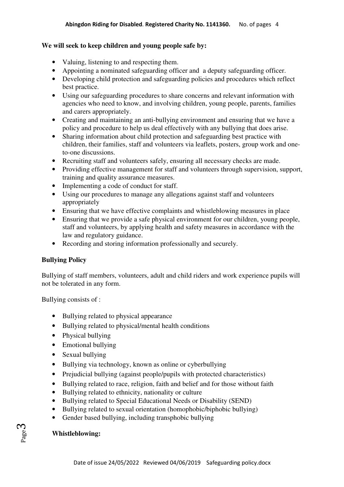## **We will seek to keep children and young people safe by:**

- Valuing, listening to and respecting them.
- Appointing a nominated safeguarding officer and a deputy safeguarding officer.
- Developing child protection and safeguarding policies and procedures which reflect best practice.
- Using our safeguarding procedures to share concerns and relevant information with agencies who need to know, and involving children, young people, parents, families and carers appropriately.
- Creating and maintaining an anti-bullying environment and ensuring that we have a policy and procedure to help us deal effectively with any bullying that does arise.
- Sharing information about child protection and safeguarding best practice with children, their families, staff and volunteers via leaflets, posters, group work and oneto-one discussions.
- Recruiting staff and volunteers safely, ensuring all necessary checks are made.
- Providing effective management for staff and volunteers through supervision, support, training and quality assurance measures.
- Implementing a code of conduct for staff.
- Using our procedures to manage any allegations against staff and volunteers appropriately
- Ensuring that we have effective complaints and whistleblowing measures in place
- Ensuring that we provide a safe physical environment for our children, young people, staff and volunteers, by applying health and safety measures in accordance with the law and regulatory guidance.
- Recording and storing information professionally and securely.

## **Bullying Policy**

Bullying of staff members, volunteers, adult and child riders and work experience pupils will not be tolerated in any form.

Bullying consists of :

- Bullying related to physical appearance
- Bullying related to physical/mental health conditions
- Physical bullying
- Emotional bullying
- Sexual bullying
- Bullying via technology, known as online or cyberbullying
- Prejudicial bullying (against people/pupils with protected characteristics)
- Bullying related to race, religion, faith and belief and for those without faith
- Bullying related to ethnicity, nationality or culture
- Bullying related to Special Educational Needs or Disability (SEND)
- Bullying related to sexual orientation (homophobic/biphobic bullying)
- Gender based bullying, including transphobic bullying

## **Whistleblowing:**